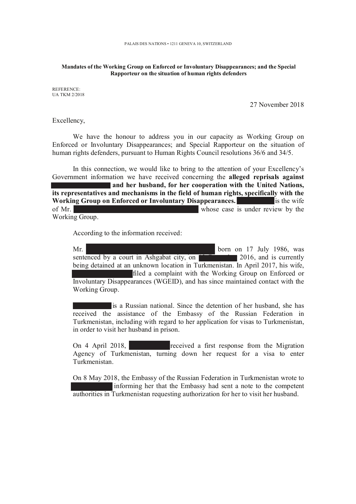## Mandates of the Working Group on Enforced or Involuntary Disappearances; and the Special Rapporteur on the situation of human rights defenders

REFERENCE: **UA TKM 2/2018** 

27 November 2018

Excellency,

We have the honour to address you in our capacity as Working Group on Enforced or Involuntary Disappearances; and Special Rapporteur on the situation of human rights defenders, pursuant to Human Rights Council resolutions 36/6 and 34/5.

In this connection, we would like to bring to the attention of your Excellency's Government information we have received concerning the alleged reprisals against and her husband, for her cooperation with the United Nations, its representatives and mechanisms in the field of human rights, specifically with the Working Group on Enforced or Involuntary Disappearances.  $\frac{1}{2}$  is the wife of Mr. whose case is under review by the Working Group.

According to the information received:

born on 17 July 1986, was  $Mr.$ sentenced by a court in Ashgabat city, on  $\blacksquare$  2016, and is currently being detained at an unknown location in Turkmenistan. In April 2017, his wife, filed a complaint with the Working Group on Enforced or Involuntary Disappearances (WGEID), and has since maintained contact with the Working Group.

is a Russian national. Since the detention of her husband, she has received the assistance of the Embassy of the Russian Federation in Turkmenistan, including with regard to her application for visas to Turkmenistan, in order to visit her husband in prison.

On 4 April 2018, received a first response from the Migration Agency of Turkmenistan, turning down her request for a visa to enter Turkmenistan

On 8 May 2018, the Embassy of the Russian Federation in Turkmenistan wrote to informing her that the Embassy had sent a note to the competent authorities in Turkmenistan requesting authorization for her to visit her husband.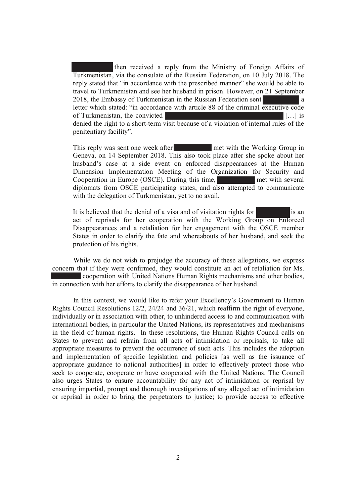then received a reply from the Ministry of Foreign Affairs of Turkmenistan, via the consulate of the Russian Federation, on 10 July 2018. The reply stated that "in accordance with the prescribed manner" she would be able to travel to Turkmenistan and see her husband in prison. However, on 21 September 2018, the Embassy of Turkmenistan in the Russian Federation sent l a letter which stated: "in accordance with article 88 of the criminal executive code of Turkmenistan, the convicted  $\left[\begin{smallmatrix} 1 & 1 \\ 1 & 1 \end{smallmatrix}\right]$  is denied the right to a short-term visit because of a violation of internal rules of the penitentiary facility".

This reply was sent one week after met with the Working Group in Geneva, on 14 September 2018. This also took place after she spoke about her husband's case at a side event on enforced disappearances at the Human Dimension Implementation Meeting of the Organization for Security and Cooperation in Europe (OSCE). During this time, met with several diplomats from OSCE participating states, and also attempted to communicate with the delegation of Turkmenistan, yet to no avail.

It is believed that the denial of a visa and of visitation rights for lis an act of reprisals for her cooperation with the Working Group on Enforced Disappearances and a retaliation for her engagement with the OSCE member States in order to clarify the fate and whereabouts of her husband, and seek the protection of his rights.

While we do not wish to prejudge the accuracy of these allegations, we express concern that if they were confirmed, they would constitute an act of retaliation for Ms. cooperation with United Nations Human Rights mechanisms and other bodies, in connection with her efforts to clarify the disappearance of her husband.

In this context, we would like to refer your Excellency's Government to Human Rights Council Resolutions 12/2, 24/24 and 36/21, which reaffirm the right of everyone, individually or in association with other, to unhindered access to and communication with international bodies, in particular the United Nations, its representatives and mechanisms in the field of human rights. In these resolutions, the Human Rights Council calls on States to prevent and refrain from all acts of intimidation or reprisals, to take all appropriate measures to prevent the occurrence of such acts. This includes the adoption and implementation of specific legislation and policies [as well as the issuance of appropriate guidance to national authorities] in order to effectively protect those who seek to cooperate, cooperate or have cooperated with the United Nations. The Council also urges States to ensure accountability for any act of intimidation or reprisal by ensuring impartial, prompt and thorough investigations of any alleged act of intimidation or reprisal in order to bring the perpetrators to justice; to provide access to effective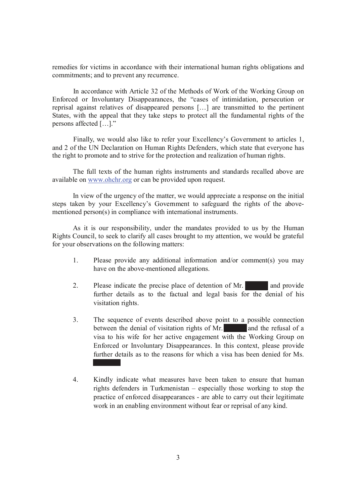remedies for victims in accordance with their international human rights obligations and commitments; and to prevent any recurrence.

In accordance with Article 32 of the Methods of Work of the Working Group on Enforced or Involuntary Disappearances, the "cases of intimidation, persecution or reprisal against relatives of disappeared persons [...] are transmitted to the pertinent States, with the appeal that they take steps to protect all the fundamental rights of the persons affected [...]."

Finally, we would also like to refer your Excellency's Government to articles 1, and 2 of the UN Declaration on Human Rights Defenders, which state that everyone has the right to promote and to strive for the protection and realization of human rights.

The full texts of the human rights instruments and standards recalled above are available on www.ohchr.org or can be provided upon request.

In view of the urgency of the matter, we would appreciate a response on the initial steps taken by your Excellency's Government to safeguard the rights of the abovementioned person(s) in compliance with international instruments.

As it is our responsibility, under the mandates provided to us by the Human Rights Council, to seek to clarify all cases brought to my attention, we would be grateful for your observations on the following matters:

- $1_{-}$ Please provide any additional information and/or comment(s) you may have on the above-mentioned allegations.
- $2.$ Please indicate the precise place of detention of Mr. and provide further details as to the factual and legal basis for the denial of his visitation rights.
- $\mathcal{Z}$ The sequence of events described above point to a possible connection between the denial of visitation rights of Mr. and the refusal of a visa to his wife for her active engagement with the Working Group on Enforced or Involuntary Disappearances. In this context, please provide further details as to the reasons for which a visa has been denied for Ms.
- $4.$ Kindly indicate what measures have been taken to ensure that human rights defenders in Turkmenistan – especially those working to stop the practice of enforced disappearances - are able to carry out their legitimate work in an enabling environment without fear or reprisal of any kind.